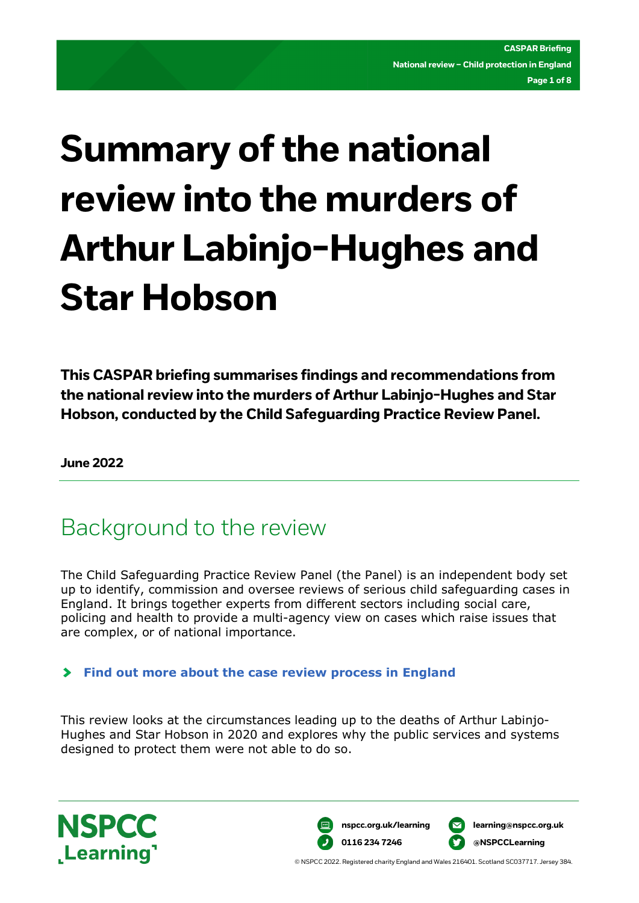# **Summary of the national review into the murders of Arthur Labinjo-Hughes and Star Hobson**

**This CASPAR briefing summarises findings and recommendations from the national review into the murders of Arthur Labinjo-Hughes and Star Hobson, conducted by the Child Safeguarding Practice Review Panel.**

**June 2022** 

### Background to the review

The Child Safeguarding Practice Review Panel (the Panel) is an independent body set up to identify, commission and oversee reviews of serious child safeguarding cases in England. It brings together experts from different sectors including social care, policing and health to provide a multi-agency view on cases which raise issues that are complex, or of national importance.

#### **[Find out more about the case review process in England](https://learning.nspcc.org.uk/case-reviews/process-in-each-uk-nation)**

This review looks at the circumstances leading up to the deaths of Arthur Labinjo-Hughes and Star Hobson in 2020 and explores why the public services and systems designed to protect them were not able to do so.





© NSPCC 2022. Registered charity England and Wales 216401. Scotland SC037717. Jersey 384.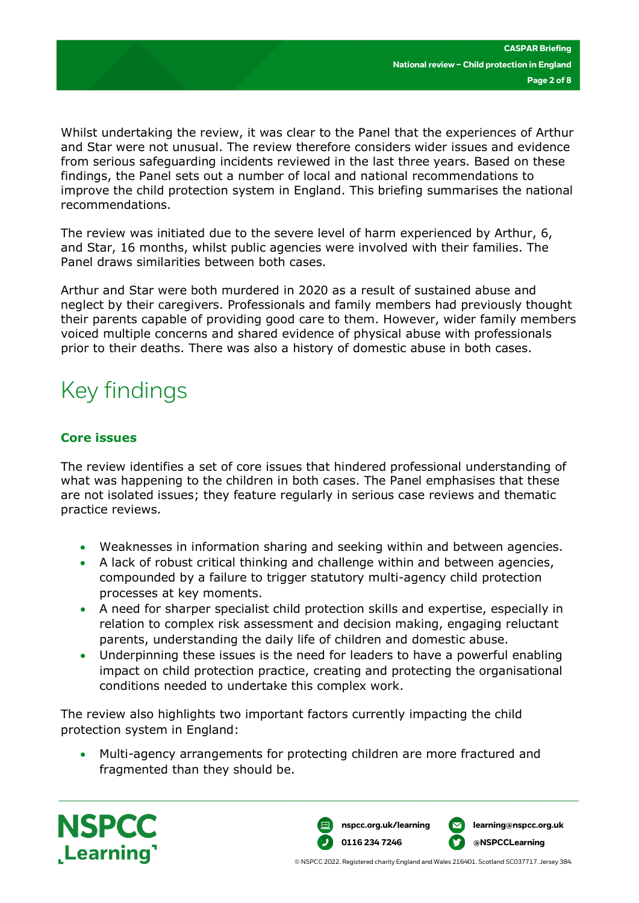Whilst undertaking the review, it was clear to the Panel that the experiences of Arthur and Star were not unusual. The review therefore considers wider issues and evidence from serious safeguarding incidents reviewed in the last three years. Based on these findings, the Panel sets out a number of local and national recommendations to improve the child protection system in England. This briefing summarises the national recommendations.

The review was initiated due to the severe level of harm experienced by Arthur, 6, and Star, 16 months, whilst public agencies were involved with their families. The Panel draws similarities between both cases.

Arthur and Star were both murdered in 2020 as a result of sustained abuse and neglect by their caregivers. Professionals and family members had previously thought their parents capable of providing good care to them. However, wider family members voiced multiple concerns and shared evidence of physical abuse with professionals prior to their deaths. There was also a history of domestic abuse in both cases.

## Key findings

#### **Core issues**

The review identifies a set of core issues that hindered professional understanding of what was happening to the children in both cases. The Panel emphasises that these are not isolated issues; they feature regularly in serious case reviews and thematic practice reviews.

- Weaknesses in information sharing and seeking within and between agencies.
- A lack of robust critical thinking and challenge within and between agencies, compounded by a failure to trigger statutory multi-agency child protection processes at key moments.
- A need for sharper specialist child protection skills and expertise, especially in relation to complex risk assessment and decision making, engaging reluctant parents, understanding the daily life of children and domestic abuse.
- Underpinning these issues is the need for leaders to have a powerful enabling impact on child protection practice, creating and protecting the organisational conditions needed to undertake this complex work.

The review also highlights two important factors currently impacting the child protection system in England:

• Multi-agency arrangements for protecting children are more fractured and fragmented than they should be.



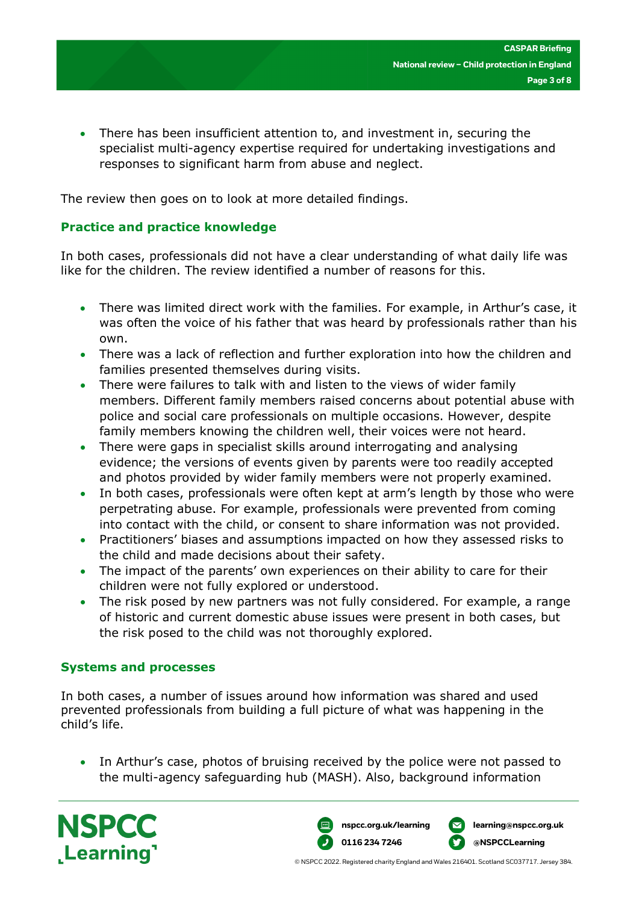• There has been insufficient attention to, and investment in, securing the specialist multi-agency expertise required for undertaking investigations and responses to significant harm from abuse and neglect.

The review then goes on to look at more detailed findings.

#### **Practice and practice knowledge**

In both cases, professionals did not have a clear understanding of what daily life was like for the children. The review identified a number of reasons for this.

- There was limited direct work with the families. For example, in Arthur's case, it was often the voice of his father that was heard by professionals rather than his own.
- There was a lack of reflection and further exploration into how the children and families presented themselves during visits.
- There were failures to talk with and listen to the views of wider family members. Different family members raised concerns about potential abuse with police and social care professionals on multiple occasions. However, despite family members knowing the children well, their voices were not heard.
- There were gaps in specialist skills around interrogating and analysing evidence; the versions of events given by parents were too readily accepted and photos provided by wider family members were not properly examined.
- In both cases, professionals were often kept at arm's length by those who were perpetrating abuse. For example, professionals were prevented from coming into contact with the child, or consent to share information was not provided.
- Practitioners' biases and assumptions impacted on how they assessed risks to the child and made decisions about their safety.
- The impact of the parents' own experiences on their ability to care for their children were not fully explored or understood.
- The risk posed by new partners was not fully considered. For example, a range of historic and current domestic abuse issues were present in both cases, but the risk posed to the child was not thoroughly explored.

#### **Systems and processes**

In both cases, a number of issues around how information was shared and used prevented professionals from building a full picture of what was happening in the child's life.

• In Arthur's case, photos of bruising received by the police were not passed to the multi-agency safeguarding hub (MASH). Also, background information



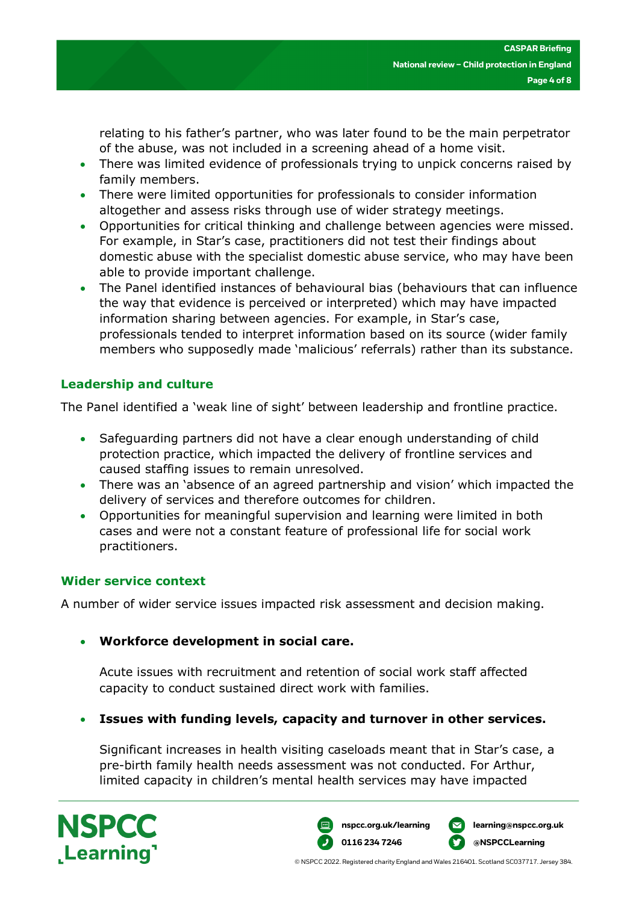relating to his father's partner, who was later found to be the main perpetrator of the abuse, was not included in a screening ahead of a home visit.

- There was limited evidence of professionals trying to unpick concerns raised by family members.
- There were limited opportunities for professionals to consider information altogether and assess risks through use of wider strategy meetings.
- Opportunities for critical thinking and challenge between agencies were missed. For example, in Star's case, practitioners did not test their findings about domestic abuse with the specialist domestic abuse service, who may have been able to provide important challenge.
- The Panel identified instances of behavioural bias (behaviours that can influence the way that evidence is perceived or interpreted) which may have impacted information sharing between agencies. For example, in Star's case, professionals tended to interpret information based on its source (wider family members who supposedly made 'malicious' referrals) rather than its substance.

#### **Leadership and culture**

The Panel identified a 'weak line of sight' between leadership and frontline practice.

- Safeguarding partners did not have a clear enough understanding of child protection practice, which impacted the delivery of frontline services and caused staffing issues to remain unresolved.
- There was an 'absence of an agreed partnership and vision' which impacted the delivery of services and therefore outcomes for children.
- Opportunities for meaningful supervision and learning were limited in both cases and were not a constant feature of professional life for social work practitioners.

#### **Wider service context**

A number of wider service issues impacted risk assessment and decision making.

#### • **Workforce development in social care.**

Acute issues with recruitment and retention of social work staff affected capacity to conduct sustained direct work with families.

• **Issues with funding levels, capacity and turnover in other services.**

Significant increases in health visiting caseloads meant that in Star's case, a pre-birth family health needs assessment was not conducted. For Arthur, limited capacity in children's mental health services may have impacted



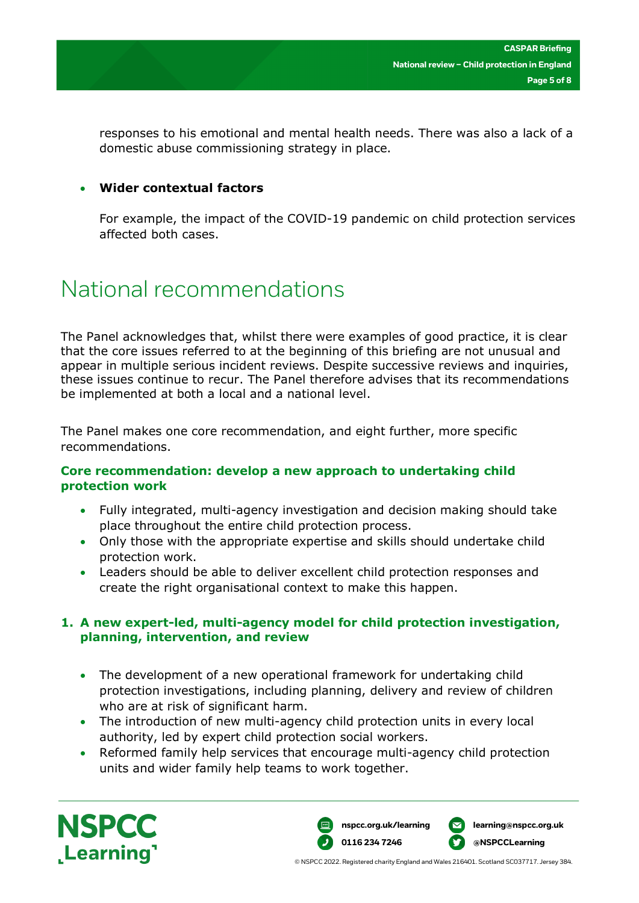responses to his emotional and mental health needs. There was also a lack of a domestic abuse commissioning strategy in place.

#### • **Wider contextual factors**

For example, the impact of the COVID-19 pandemic on child protection services affected both cases.

### National recommendations

The Panel acknowledges that, whilst there were examples of good practice, it is clear that the core issues referred to at the beginning of this briefing are not unusual and appear in multiple serious incident reviews. Despite successive reviews and inquiries, these issues continue to recur. The Panel therefore advises that its recommendations be implemented at both a local and a national level.

The Panel makes one core recommendation, and eight further, more specific recommendations.

#### **Core recommendation: develop a new approach to undertaking child protection work**

- Fully integrated, multi-agency investigation and decision making should take place throughout the entire child protection process.
- Only those with the appropriate expertise and skills should undertake child protection work.
- Leaders should be able to deliver excellent child protection responses and create the right organisational context to make this happen.

#### **1. A new expert-led, multi-agency model for child protection investigation, planning, intervention, and review**

- The development of a new operational framework for undertaking child protection investigations, including planning, delivery and review of children who are at risk of significant harm.
- The introduction of new multi-agency child protection units in every local authority, led by expert child protection social workers.
- Reformed family help services that encourage multi-agency child protection units and wider family help teams to work together.

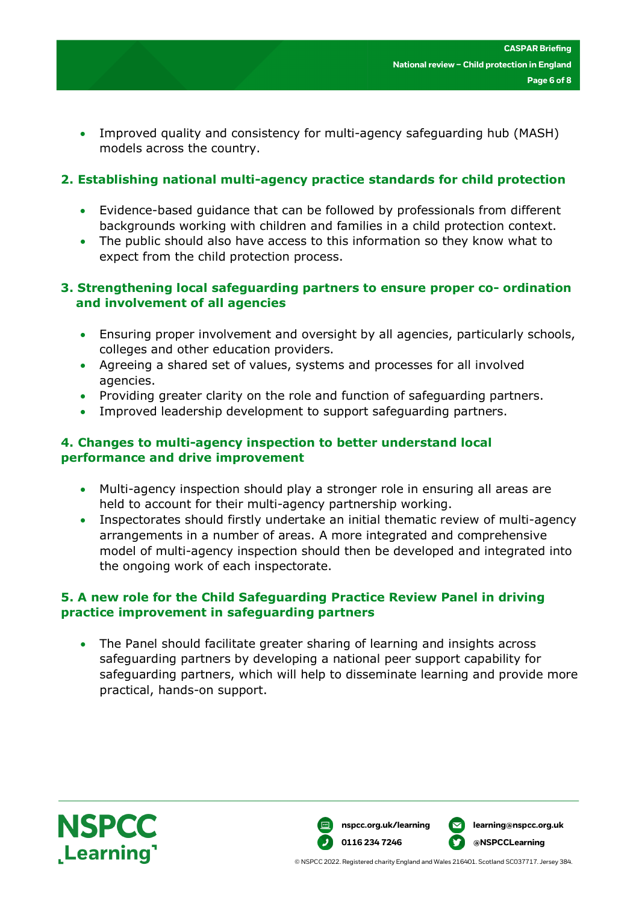• Improved quality and consistency for multi-agency safeguarding hub (MASH) models across the country.

#### **2. Establishing national multi-agency practice standards for child protection**

- Evidence-based guidance that can be followed by professionals from different backgrounds working with children and families in a child protection context.
- The public should also have access to this information so they know what to expect from the child protection process.

#### **3. Strengthening local safeguarding partners to ensure proper co- ordination and involvement of all agencies**

- Ensuring proper involvement and oversight by all agencies, particularly schools, colleges and other education providers.
- Agreeing a shared set of values, systems and processes for all involved agencies.
- Providing greater clarity on the role and function of safeguarding partners.
- Improved leadership development to support safeguarding partners.

#### **4. Changes to multi-agency inspection to better understand local performance and drive improvement**

- Multi-agency inspection should play a stronger role in ensuring all areas are held to account for their multi-agency partnership working.
- Inspectorates should firstly undertake an initial thematic review of multi-agency arrangements in a number of areas. A more integrated and comprehensive model of multi-agency inspection should then be developed and integrated into the ongoing work of each inspectorate.

#### **5. A new role for the Child Safeguarding Practice Review Panel in driving practice improvement in safeguarding partners**

• The Panel should facilitate greater sharing of learning and insights across safeguarding partners by developing a national peer support capability for safeguarding partners, which will help to disseminate learning and provide more practical, hands-on support.





© NSPCC 2022. Registered charity England and Wales 216401. Scotland SC037717. Jersey 384.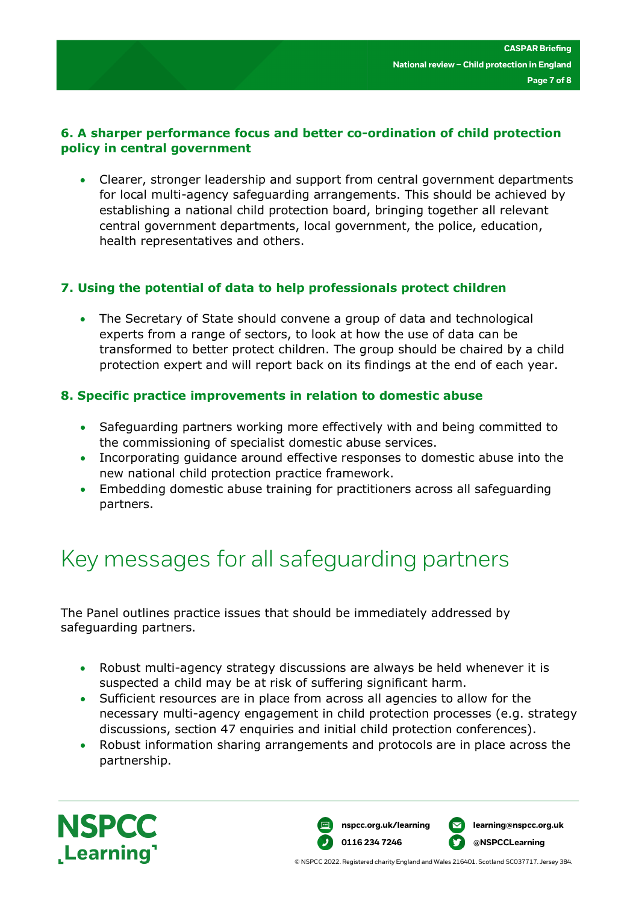#### **6. A sharper performance focus and better co-ordination of child protection policy in central government**

• Clearer, stronger leadership and support from central government departments for local multi-agency safeguarding arrangements. This should be achieved by establishing a national child protection board, bringing together all relevant central government departments, local government, the police, education, health representatives and others.

#### **7. Using the potential of data to help professionals protect children**

• The Secretary of State should convene a group of data and technological experts from a range of sectors, to look at how the use of data can be transformed to better protect children. The group should be chaired by a child protection expert and will report back on its findings at the end of each year.

#### **8. Specific practice improvements in relation to domestic abuse**

- Safeguarding partners working more effectively with and being committed to the commissioning of specialist domestic abuse services.
- Incorporating guidance around effective responses to domestic abuse into the new national child protection practice framework.
- Embedding domestic abuse training for practitioners across all safeguarding partners.

## Key messages for all safeguarding partners

The Panel outlines practice issues that should be immediately addressed by safeguarding partners.

- Robust multi-agency strategy discussions are always be held whenever it is suspected a child may be at risk of suffering significant harm.
- Sufficient resources are in place from across all agencies to allow for the necessary multi-agency engagement in child protection processes (e.g. strategy discussions, section 47 enquiries and initial child protection conferences).
- Robust information sharing arrangements and protocols are in place across the partnership.